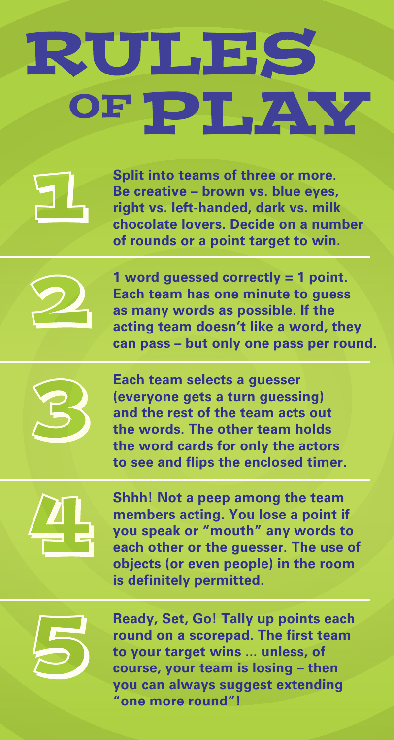## RULES OF PLAY

**Split into teams of three or more. Be creative – brown vs. blue eyes, right vs. left-handed, dark vs. milk chocolate lovers. Decide on a number of rounds or a point target to win.** 



**1 word guessed correctly = 1 point. Each team has one minute to guess as many words as possible. If the acting team doesn't like a word, they can pass – but only one pass per round.**



**Each team selects a guesser (everyone gets a turn guessing) and the rest of the team acts out the words. The other team holds the word cards for only the actors to see and flips the enclosed timer.**



**Shhh! Not a peep among the team members acting. You lose a point if you speak or "mouth" any words to each other or the guesser. The use of objects (or even people) in the room is definitely permitted.**



**Ready, Set, Go! Tally up points each round on a scorepad. The first team to your target wins ... unless, of course, your team is losing – then you can always suggest extending "one more round"!**